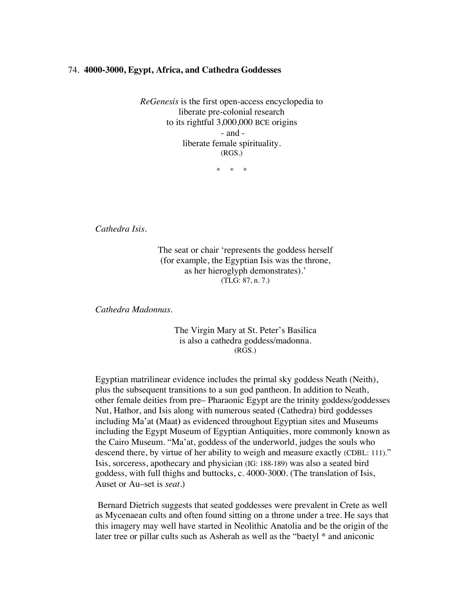## 74. **4000-3000, Egypt, Africa, and Cathedra Goddesses**

*ReGenesis* is the first open-access encyclopedia to liberate pre-colonial research to its rightful 3,000,000 BCE origins - and liberate female spirituality. (RGS.)

\* \* \*

*Cathedra Isis.*

The seat or chair 'represents the goddess herself (for example, the Egyptian Isis was the throne, as her hieroglyph demonstrates).' (TLG: 87, n. 7.)

*Cathedra Madonnas.*

The Virgin Mary at St. Peter's Basilica is also a cathedra goddess/madonna. (RGS.)

Egyptian matrilinear evidence includes the primal sky goddess Neath (Neith), plus the subsequent transitions to a sun god pantheon. In addition to Neath, other female deities from pre– Pharaonic Egypt are the trinity goddess/goddesses Nut, Hathor, and Isis along with numerous seated (Cathedra) bird goddesses including Ma'at **(**Maat**)** as evidenced throughout Egyptian sites and Museums including the Egypt Museum of Egyptian Antiquities, more commonly known as the Cairo Museum. "Ma'at, goddess of the underworld, judges the souls who descend there, by virtue of her ability to weigh and measure exactly (CDBL: 111)." Isis, sorceress, apothecary and physician (IG: 188-189) was also a seated bird goddess, with full thighs and buttocks, c. 4000-3000. (The translation of Isis, Auset or Au–set is *seat*.)

Bernard Dietrich suggests that seated goddesses were prevalent in Crete as well as Mycenaean cults and often found sitting on a throne under a tree. He says that this imagery may well have started in Neolithic Anatolia and be the origin of the later tree or pillar cults such as Asherah as well as the "baetyl \* and aniconic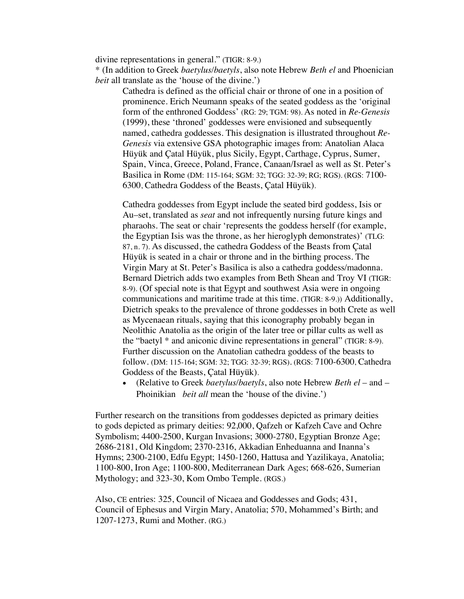divine representations in general." (TIGR: 8-9.)

\* (In addition to Greek *baetylus/baetyls*, also note Hebrew *Beth el* and Phoenician *beit* all translate as the 'house of the divine.')

Cathedra is defined as the official chair or throne of one in a position of prominence. Erich Neumann speaks of the seated goddess as the 'original form of the enthroned Goddess' (RG: 29; TGM: 98). As noted in *Re-Genesis* (1999), these 'throned' goddesses were envisioned and subsequently named, cathedra goddesses. This designation is illustrated throughout *Re-Genesis* via extensive GSA photographic images from: Anatolian Alaca Hüyük and Çatal Hüyük, plus Sicily, Egypt, Carthage, Cyprus, Sumer, Spain, Vinca, Greece, Poland, France, Canaan/Israel as well as St. Peter's Basilica in Rome (DM: 115-164; SGM: 32; TGG: 32-39; RG; RGS). (RGS: 7100- 6300, Cathedra Goddess of the Beasts, Çatal Hüyük).

Cathedra goddesses from Egypt include the seated bird goddess, Isis or Au–set, translated as *seat* and not infrequently nursing future kings and pharaohs. The seat or chair 'represents the goddess herself (for example, the Egyptian Isis was the throne, as her hieroglyph demonstrates)' (TLG: 87, n. 7). As discussed, the cathedra Goddess of the Beasts from Çatal Hüyük is seated in a chair or throne and in the birthing process. The Virgin Mary at St. Peter's Basilica is also a cathedra goddess/madonna. Bernard Dietrich adds two examples from Beth Shean and Troy VI (TIGR: 8-9). (Of special note is that Egypt and southwest Asia were in ongoing communications and maritime trade at this time. (TIGR: 8-9.)) Additionally, Dietrich speaks to the prevalence of throne goddesses in both Crete as well as Mycenaean rituals, saying that this iconography probably began in Neolithic Anatolia as the origin of the later tree or pillar cults as well as the "baetyl \* and aniconic divine representations in general" (TIGR: 8-9). Further discussion on the Anatolian cathedra goddess of the beasts to follow. (DM: 115-164; SGM: 32; TGG: 32-39; RGS). (RGS: 7100-6300, Cathedra Goddess of the Beasts, Çatal Hüyük).

• (Relative to Greek *baetylus/baetyls*, also note Hebrew *Beth el* – and – Phoinikian *beit all* mean the 'house of the divine.')

Further research on the transitions from goddesses depicted as primary deities to gods depicted as primary deities: 92,000, Qafzeh or Kafzeh Cave and Ochre Symbolism; 4400-2500, Kurgan Invasions; 3000-2780, Egyptian Bronze Age; 2686-2181, Old Kingdom; 2370-2316, Akkadian Enheduanna and Inanna's Hymns; 2300-2100, Edfu Egypt; 1450-1260, Hattusa and Yazilikaya, Anatolia; 1100-800, Iron Age; 1100-800, Mediterranean Dark Ages; 668-626, Sumerian Mythology; and 323-30, Kom Ombo Temple. (RGS.)

Also, CE entries: 325, Council of Nicaea and Goddesses and Gods; 431, Council of Ephesus and Virgin Mary, Anatolia; 570, Mohammed's Birth; and 1207-1273, Rumi and Mother. (RG.)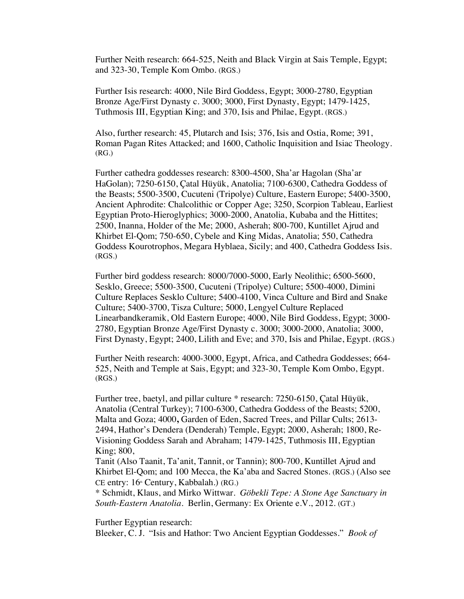Further Neith research: 664-525, Neith and Black Virgin at Sais Temple, Egypt; and 323-30, Temple Kom Ombo. (RGS.)

Further Isis research: 4000, Nile Bird Goddess, Egypt; 3000-2780, Egyptian Bronze Age/First Dynasty c. 3000; 3000, First Dynasty, Egypt; 1479-1425, Tuthmosis III, Egyptian King; and 370, Isis and Philae, Egypt. (RGS.)

Also, further research: 45, Plutarch and Isis; 376, Isis and Ostia, Rome; 391, Roman Pagan Rites Attacked; and 1600, Catholic Inquisition and Isiac Theology. (RG.)

Further cathedra goddesses research: 8300-4500, Sha'ar Hagolan (Sha'ar HaGolan); 7250-6150, Çatal Hüyük, Anatolia; 7100-6300, Cathedra Goddess of the Beasts; 5500-3500, Cucuteni (Tripolye) Culture, Eastern Europe; 5400-3500, Ancient Aphrodite: Chalcolithic or Copper Age; 3250, Scorpion Tableau, Earliest Egyptian Proto-Hieroglyphics; 3000-2000, Anatolia, Kubaba and the Hittites; 2500, Inanna, Holder of the Me; 2000, Asherah; 800-700, Kuntillet Ajrud and Khirbet El-Qom; 750-650, Cybele and King Midas, Anatolia; 550, Cathedra Goddess Kourotrophos, Megara Hyblaea, Sicily; and 400, Cathedra Goddess Isis. (RGS.)

Further bird goddess research: 8000/7000-5000, Early Neolithic; 6500-5600, Sesklo, Greece; 5500-3500, Cucuteni (Tripolye) Culture; 5500-4000, Dimini Culture Replaces Sesklo Culture; 5400-4100, Vinca Culture and Bird and Snake Culture; 5400-3700, Tisza Culture; 5000, Lengyel Culture Replaced Linearbandkeramik, Old Eastern Europe; 4000, Nile Bird Goddess, Egypt; 3000- 2780, Egyptian Bronze Age/First Dynasty c. 3000; 3000-2000, Anatolia; 3000, First Dynasty, Egypt; 2400, Lilith and Eve; and 370, Isis and Philae, Egypt. (RGS.)

Further Neith research: 4000-3000, Egypt, Africa, and Cathedra Goddesses; 664- 525, Neith and Temple at Sais, Egypt; and 323-30, Temple Kom Ombo, Egypt. (RGS.)

Further tree, baetyl, and pillar culture \* research: 7250-6150, Çatal Hüyük, Anatolia (Central Turkey); 7100-6300, Cathedra Goddess of the Beasts; 5200, Malta and Goza; 4000**,** Garden of Eden, Sacred Trees, and Pillar Cults; 2613- 2494, Hathor's Dendera (Denderah) Temple, Egypt; 2000, Asherah; 1800, Re-Visioning Goddess Sarah and Abraham; 1479-1425, Tuthmosis III, Egyptian King; 800,

Tanit (Also Taanit, Ta'anit, Tannit, or Tannin); 800-700, Kuntillet Ajrud and Khirbet El-Qom; and 100 Mecca, the Ka'aba and Sacred Stones. (RGS.) (Also see CE entry: 16<sup>th</sup> Century, Kabbalah.) (RG.)

\* Schmidt, Klaus, and Mirko Wittwar. *Göbekli Tepe: A Stone Age Sanctuary in South-Eastern Anatolia*. Berlin, Germany: Ex Oriente e.V., 2012. (GT.)

Further Egyptian research:

Bleeker, C. J. "Isis and Hathor: Two Ancient Egyptian Goddesses." *Book of*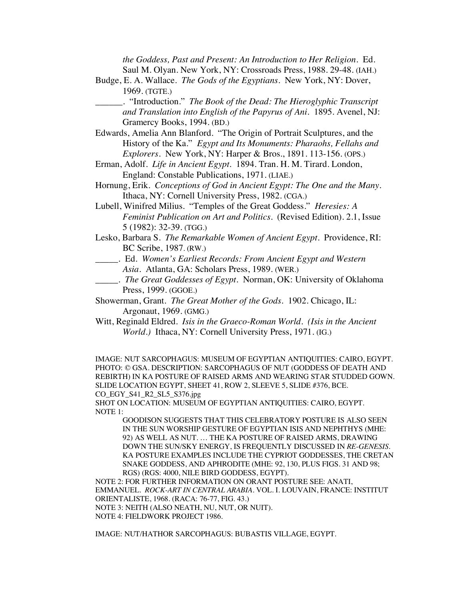*the Goddess, Past and Present: An Introduction to Her Religion.* Ed. Saul M. Olyan. New York, NY: Crossroads Press, 1988. 29-48. (IAH.)

- Budge, E. A. Wallace. *The Gods of the Egyptians.* New York, NY: Dover, 1969. (TGTE.)
	- \_\_\_\_\_\_. "Introduction." *The Book of the Dead: The Hieroglyphic Transcript and Translation into English of the Papyrus of Ani*. 1895. Avenel, NJ: Gramercy Books, 1994. (BD.)
- Edwards, Amelia Ann Blanford. "The Origin of Portrait Sculptures, and the History of the Ka." *Egypt and Its Monuments: Pharaohs, Fellahs and Explorers*. New York, NY: Harper & Bros., 1891. 113-156. (OPS.)
- Erman, Adolf. *Life in Ancient Egypt.* 1894. Tran. H. M. Tirard. London, England: Constable Publications, 1971. (LIAE.)
- Hornung, Erik. *Conceptions of God in Ancient Egypt: The One and the Many*. Ithaca, NY: Cornell University Press, 1982. (CGA.)
- Lubell, Winifred Milius. "Temples of the Great Goddess." *Heresies: A Feminist Publication on Art and Politics.* (Revised Edition). 2.1, Issue 5 (1982): 32-39. (TGG.)
- Lesko, Barbara S. *The Remarkable Women of Ancient Egypt*. Providence, RI: BC Scribe, 1987. (RW.)
- \_\_\_\_\_. Ed. *Women's Earliest Records: From Ancient Egypt and Western* 
	- *Asia*. Atlanta, GA: Scholars Press, 1989. (WER.)
- \_\_\_\_\_. *The Great Goddesses of Egypt*. Norman, OK: University of Oklahoma Press, 1999. (GGOE.)
- Showerman, Grant. *The Great Mother of the Gods*. 1902. Chicago, IL: Argonaut, 1969. (GMG.)
- Witt, Reginald Eldred. *Isis in the Graeco-Roman World*. *(Isis in the Ancient World.)* Ithaca, NY: Cornell University Press, 1971. (IG.)

IMAGE: NUT SARCOPHAGUS: MUSEUM OF EGYPTIAN ANTIQUITIES: CAIRO, EGYPT. PHOTO: © GSA. DESCRIPTION: SARCOPHAGUS OF NUT (GODDESS OF DEATH AND REBIRTH) IN KA POSTURE OF RAISED ARMS AND WEARING STAR STUDDED GOWN. SLIDE LOCATION EGYPT, SHEET 41, ROW 2, SLEEVE 5, SLIDE #376, BCE. CO\_EGY\_S41\_R2\_SL5\_S376.jpg

SHOT ON LOCATION: MUSEUM OF EGYPTIAN ANTIQUITIES: CAIRO, EGYPT. NOTE 1:

GOODISON SUGGESTS THAT THIS CELEBRATORY POSTURE IS ALSO SEEN IN THE SUN WORSHIP GESTURE OF EGYPTIAN ISIS AND NEPHTHYS (MHE: 92) AS WELL AS NUT. … THE KA POSTURE OF RAISED ARMS, DRAWING DOWN THE SUN/SKY ENERGY, IS FREQUENTLY DISCUSSED IN *RE*-*GENESIS.* KA POSTURE EXAMPLES INCLUDE THE CYPRIOT GODDESSES, THE CRETAN SNAKE GODDESS, AND APHRODITE (MHE: 92, 130, PLUS FIGS. 31 AND 98; RGS) (RGS: 4000, NILE BIRD GODDESS, EGYPT).

NOTE 2: FOR FURTHER INFORMATION ON ORANT POSTURE SEE: ANATI, EMMANUEL. *ROCK-ART IN CENTRAL ARABIA*. VOL. I. LOUVAIN, FRANCE: INSTITUT ORIENTALISTE, 1968. (RACA: 76-77, FIG. 43.) NOTE 3: NEITH (ALSO NEATH, NU, NUT, OR NUIT). NOTE 4: FIELDWORK PROJECT 1986.

IMAGE: NUT/HATHOR SARCOPHAGUS: BUBASTIS VILLAGE, EGYPT.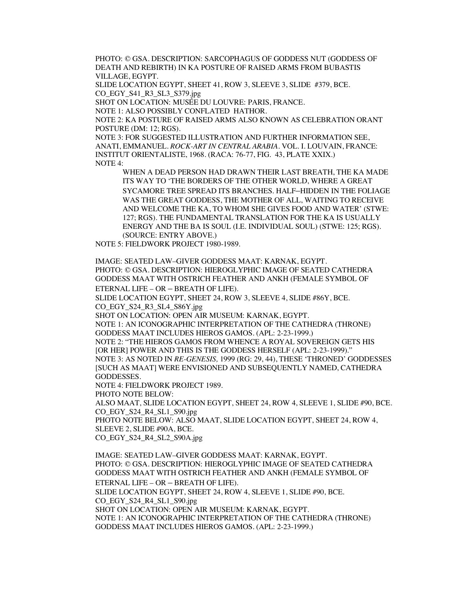PHOTO: © GSA. DESCRIPTION: SARCOPHAGUS OF GODDESS NUT (GODDESS OF DEATH AND REBIRTH) IN KA POSTURE OF RAISED ARMS FROM BUBASTIS VILLAGE, EGYPT.

SLIDE LOCATION EGYPT, SHEET 41, ROW 3, SLEEVE 3, SLIDE #379, BCE. CO\_EGY\_S41\_R3\_SL3\_S379.jpg

SHOT ON LOCATION: MUSÉE DU LOUVRE: PARIS, FRANCE.

NOTE 1: ALSO POSSIBLY CONFLATED HATHOR.

NOTE 2: KA POSTURE OF RAISED ARMS ALSO KNOWN AS CELEBRATION ORANT POSTURE (DM: 12; RGS).

NOTE 3: FOR SUGGESTED ILLUSTRATION AND FURTHER INFORMATION SEE, ANATI, EMMANUEL. *ROCK-ART IN CENTRAL ARABIA.* VOL. I. LOUVAIN, FRANCE: INSTITUT ORIENTALISTE, 1968. (RACA: 76-77, FIG. 43, PLATE XXIX.) NOTE 4:

WHEN A DEAD PERSON HAD DRAWN THEIR LAST BREATH, THE KA MADE ITS WAY TO 'THE BORDERS OF THE OTHER WORLD, WHERE A GREAT SYCAMORE TREE SPREAD ITS BRANCHES. HALF–HIDDEN IN THE FOLIAGE WAS THE GREAT GODDESS, THE MOTHER OF ALL, WAITING TO RECEIVE AND WELCOME THE KA, TO WHOM SHE GIVES FOOD AND WATER' (STWE: 127; RGS). THE FUNDAMENTAL TRANSLATION FOR THE KA IS USUALLY ENERGY AND THE BA IS SOUL (I.E. INDIVIDUAL SOUL) (STWE: 125; RGS). (SOURCE: ENTRY ABOVE.)

NOTE 5: FIELDWORK PROJECT 1980-1989.

IMAGE: SEATED LAW–GIVER GODDESS MAAT: KARNAK, EGYPT. PHOTO: © GSA. DESCRIPTION: HIEROGLYPHIC IMAGE OF SEATED CATHEDRA GODDESS MAAT WITH OSTRICH FEATHER AND ANKH (FEMALE SYMBOL OF ETERNAL LIFE – OR – BREATH OF LIFE).

SLIDE LOCATION EGYPT, SHEET 24, ROW 3, SLEEVE 4, SLIDE #86Y, BCE. CO\_EGY\_S24\_R3\_SL4\_S86Y.jpg

SHOT ON LOCATION: OPEN AIR MUSEUM: KARNAK, EGYPT.

NOTE 1: AN ICONOGRAPHIC INTERPRETATION OF THE CATHEDRA (THRONE) GODDESS MAAT INCLUDES HIEROS GAMOS. (APL: 2-23-1999.)

NOTE 2: "THE HIEROS GAMOS FROM WHENCE A ROYAL SOVEREIGN GETS HIS [OR HER] POWER AND THIS IS THE GODDESS HERSELF (APL: 2-23-1999)." NOTE 3: AS NOTED IN *RE-GENESIS,* 1999 (RG: 29, 44), THESE 'THRONED' GODDESSES

[SUCH AS MAAT] WERE ENVISIONED AND SUBSEQUENTLY NAMED, CATHEDRA GODDESSES.

NOTE 4: FIELDWORK PROJECT 1989.

PHOTO NOTE BELOW:

ALSO MAAT, SLIDE LOCATION EGYPT, SHEET 24, ROW 4, SLEEVE 1, SLIDE #90, BCE. CO\_EGY\_S24\_R4\_SL1\_S90.jpg

PHOTO NOTE BELOW: ALSO MAAT, SLIDE LOCATION EGYPT, SHEET 24, ROW 4, SLEEVE 2, SLIDE #90A, BCE.

CO\_EGY\_S24\_R4\_SL2\_S90A.jpg

IMAGE: SEATED LAW–GIVER GODDESS MAAT: KARNAK, EGYPT. PHOTO: © GSA. DESCRIPTION: HIEROGLYPHIC IMAGE OF SEATED CATHEDRA GODDESS MAAT WITH OSTRICH FEATHER AND ANKH (FEMALE SYMBOL OF ETERNAL LIFE – OR – BREATH OF LIFE). SLIDE LOCATION EGYPT, SHEET 24, ROW 4, SLEEVE 1, SLIDE #90, BCE. CO\_EGY\_S24\_R4\_SL1\_S90.jpg SHOT ON LOCATION: OPEN AIR MUSEUM: KARNAK, EGYPT. NOTE 1: AN ICONOGRAPHIC INTERPRETATION OF THE CATHEDRA (THRONE) GODDESS MAAT INCLUDES HIEROS GAMOS. (APL: 2-23-1999.)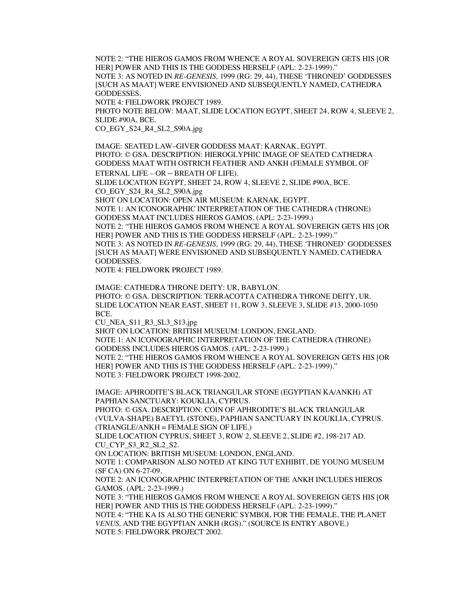NOTE 2: "THE HIEROS GAMOS FROM WHENCE A ROYAL SOVEREIGN GETS HIS [OR HER] POWER AND THIS IS THE GODDESS HERSELF (APL: 2-23-1999)." NOTE 3: AS NOTED IN *RE-GENESIS,* 1999 (RG: 29, 44), THESE 'THRONED' GODDESSES [SUCH AS MAAT] WERE ENVISIONED AND SUBSEQUENTLY NAMED, CATHEDRA GODDESSES.

NOTE 4: FIELDWORK PROJECT 1989.

PHOTO NOTE BELOW: MAAT, SLIDE LOCATION EGYPT, SHEET 24, ROW 4, SLEEVE 2, SLIDE #90A, BCE.

CO\_EGY\_S24\_R4\_SL2\_S90A.jpg

IMAGE: SEATED LAW–GIVER GODDESS MAAT: KARNAK, EGYPT. PHOTO: © GSA. DESCRIPTION: HIEROGLYPHIC IMAGE OF SEATED CATHEDRA GODDESS MAAT WITH OSTRICH FEATHER AND ANKH (FEMALE SYMBOL OF ETERNAL LIFE – OR – BREATH OF LIFE).

SLIDE LOCATION EGYPT, SHEET 24, ROW 4, SLEEVE 2, SLIDE #90A, BCE. CO\_EGY\_S24\_R4\_SL2\_S90A.jpg

SHOT ON LOCATION: OPEN AIR MUSEUM: KARNAK, EGYPT.

NOTE 1: AN ICONOGRAPHIC INTERPRETATION OF THE CATHEDRA (THRONE) GODDESS MAAT INCLUDES HIEROS GAMOS. (APL: 2-23-1999.)

NOTE 2: "THE HIEROS GAMOS FROM WHENCE A ROYAL SOVEREIGN GETS HIS [OR HER] POWER AND THIS IS THE GODDESS HERSELF (APL: 2-23-1999)." NOTE 3: AS NOTED IN *RE-GENESIS,* 1999 (RG: 29, 44), THESE 'THRONED' GODDESSES [SUCH AS MAAT] WERE ENVISIONED AND SUBSEQUENTLY NAMED, CATHEDRA GODDESSES.

NOTE 4: FIELDWORK PROJECT 1989.

IMAGE: CATHEDRA THRONE DEITY: UR, BABYLON. PHOTO: © GSA. DESCRIPTION: TERRACOTTA CATHEDRA THRONE DEITY, UR. SLIDE LOCATION NEAR EAST, SHEET 11, ROW 3, SLEEVE 3, SLIDE #13, 2000-1050 BCE.

CU\_NEA\_S11\_R3\_SL3\_S13.jpg

SHOT ON LOCATION: BRITISH MUSEUM: LONDON, ENGLAND.

NOTE 1: AN ICONOGRAPHIC INTERPRETATION OF THE CATHEDRA (THRONE) GODDESS INCLUDES HIEROS GAMOS. (APL: 2-23-1999.)

NOTE 2: "THE HIEROS GAMOS FROM WHENCE A ROYAL SOVEREIGN GETS HIS [OR HER] POWER AND THIS IS THE GODDESS HERSELF (APL: 2-23-1999)." NOTE 3: FIELDWORK PROJECT 1998-2002.

IMAGE: APHRODITE'S BLACK TRIANGULAR STONE (EGYPTIAN KA/ANKH) AT PAPHIAN SANCTUARY: KOUKLIA, CYPRUS.

PHOTO: © GSA. DESCRIPTION: COIN OF APHRODITE'S BLACK TRIANGULAR (VULVA-SHAPE) BAETYL **(**STONE), PAPHIAN SANCTUARY IN KOUKLIA, CYPRUS. (TRIANGLE/ANKH = FEMALE SIGN OF LIFE.)

SLIDE LOCATION CYPRUS, SHEET 3, ROW 2, SLEEVE 2, SLIDE #2, 198-217 AD. CU\_CYP\_S3\_R2\_SL2\_S2.

ON LOCATION: BRITISH MUSEUM: LONDON, ENGLAND.

NOTE 1: COMPARISON ALSO NOTED AT KING TUT EXHIBIT, DE YOUNG MUSEUM (SF CA) ON 6-27-09.

NOTE 2: AN ICONOGRAPHIC INTERPRETATION OF THE ANKH INCLUDES HIEROS GAMOS. (APL: 2-23-1999.)

NOTE 3: "THE HIEROS GAMOS FROM WHENCE A ROYAL SOVEREIGN GETS HIS [OR HER] POWER AND THIS IS THE GODDESS HERSELF (APL: 2-23-1999)."

NOTE 4: "THE KA IS ALSO THE GENERIC SYMBOL FOR THE FEMALE, THE PLANET *VENUS,* AND THE EGYPTIAN ANKH (RGS)." (SOURCE IS ENTRY ABOVE.) NOTE 5: FIELDWORK PROJECT 2002.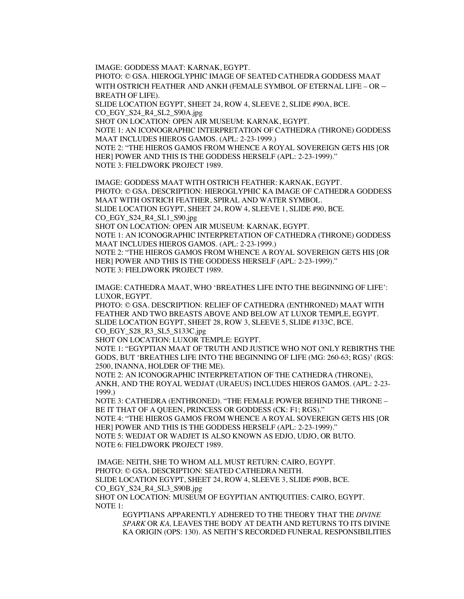IMAGE: GODDESS MAAT: KARNAK, EGYPT.

PHOTO: © GSA. HIEROGLYPHIC IMAGE OF SEATED CATHEDRA GODDESS MAAT WITH OSTRICH FEATHER AND ANKH (FEMALE SYMBOL OF ETERNAL LIFE – OR – BREATH OF LIFE).

SLIDE LOCATION EGYPT, SHEET 24, ROW 4, SLEEVE 2, SLIDE #90A, BCE. CO\_EGY\_S24\_R4\_SL2\_S90A.jpg

SHOT ON LOCATION: OPEN AIR MUSEUM: KARNAK, EGYPT.

NOTE 1: AN ICONOGRAPHIC INTERPRETATION OF CATHEDRA (THRONE) GODDESS MAAT INCLUDES HIEROS GAMOS. (APL: 2-23-1999.)

NOTE 2: "THE HIEROS GAMOS FROM WHENCE A ROYAL SOVEREIGN GETS HIS [OR HER] POWER AND THIS IS THE GODDESS HERSELF (APL: 2-23-1999)." NOTE 3: FIELDWORK PROJECT 1989.

IMAGE: GODDESS MAAT WITH OSTRICH FEATHER: KARNAK, EGYPT. PHOTO: © GSA. DESCRIPTION: HIEROGLYPHIC KA IMAGE OF CATHEDRA GODDESS MAAT WITH OSTRICH FEATHER, SPIRAL AND WATER SYMBOL. SLIDE LOCATION EGYPT, SHEET 24, ROW 4, SLEEVE 1, SLIDE #90, BCE. CO\_EGY\_S24\_R4\_SL1\_S90.jpg SHOT ON LOCATION: OPEN AIR MUSEUM: KARNAK, EGYPT. NOTE 1: AN ICONOGRAPHIC INTERPRETATION OF CATHEDRA (THRONE) GODDESS

MAAT INCLUDES HIEROS GAMOS. (APL: 2-23-1999.) NOTE 2: "THE HIEROS GAMOS FROM WHENCE A ROYAL SOVEREIGN GETS HIS [OR HER] POWER AND THIS IS THE GODDESS HERSELF (APL: 2-23-1999)."

NOTE 3: FIELDWORK PROJECT 1989.

IMAGE: CATHEDRA MAAT, WHO 'BREATHES LIFE INTO THE BEGINNING OF LIFE': LUXOR, EGYPT.

PHOTO: © GSA. DESCRIPTION: RELIEF OF CATHEDRA (ENTHRONED) MAAT WITH FEATHER AND TWO BREASTS ABOVE AND BELOW AT LUXOR TEMPLE, EGYPT. SLIDE LOCATION EGYPT, SHEET 28, ROW 3, SLEEVE 5, SLIDE #133C, BCE. CO\_EGY\_S28\_R3\_SL5\_S133C.jpg

SHOT ON LOCATION: LUXOR TEMPLE: EGYPT.

NOTE 1: "EGYPTIAN MAAT OF TRUTH AND JUSTICE WHO NOT ONLY REBIRTHS THE GODS, BUT 'BREATHES LIFE INTO THE BEGINNING OF LIFE (MG: 260-63; RGS)' (RGS: 2500, INANNA, HOLDER OF THE ME).

NOTE 2: AN ICONOGRAPHIC INTERPRETATION OF THE CATHEDRA (THRONE), ANKH, AND THE ROYAL WEDJAT (URAEUS) INCLUDES HIEROS GAMOS. (APL: 2-23- 1999.)

NOTE 3: CATHEDRA (ENTHRONED). "THE FEMALE POWER BEHIND THE THRONE – BE IT THAT OF A QUEEN, PRINCESS OR GODDESS (CK: F1; RGS)." NOTE 4: "THE HIEROS GAMOS FROM WHENCE A ROYAL SOVEREIGN GETS HIS [OR HER] POWER AND THIS IS THE GODDESS HERSELF (APL: 2-23-1999)."

NOTE 5: WEDJAT OR WADJET IS ALSO KNOWN AS EDJO, UDJO, OR BUTO. NOTE 6: FIELDWORK PROJECT 1989.

IMAGE: NEITH, SHE TO WHOM ALL MUST RETURN: CAIRO, EGYPT. PHOTO: © GSA. DESCRIPTION: SEATED CATHEDRA NEITH. SLIDE LOCATION EGYPT, SHEET 24, ROW 4, SLEEVE 3, SLIDE #90B, BCE. CO\_EGY\_S24\_R4\_SL3\_S90B.jpg SHOT ON LOCATION: MUSEUM OF EGYPTIAN ANTIQUITIES: CAIRO, EGYPT. NOTE 1:

EGYPTIANS APPARENTLY ADHERED TO THE THEORY THAT THE *DIVINE SPARK* OR *KA,* LEAVES THE BODY AT DEATH AND RETURNS TO ITS DIVINE KA ORIGIN (OPS: 130). AS NEITH'S RECORDED FUNERAL RESPONSIBILITIES